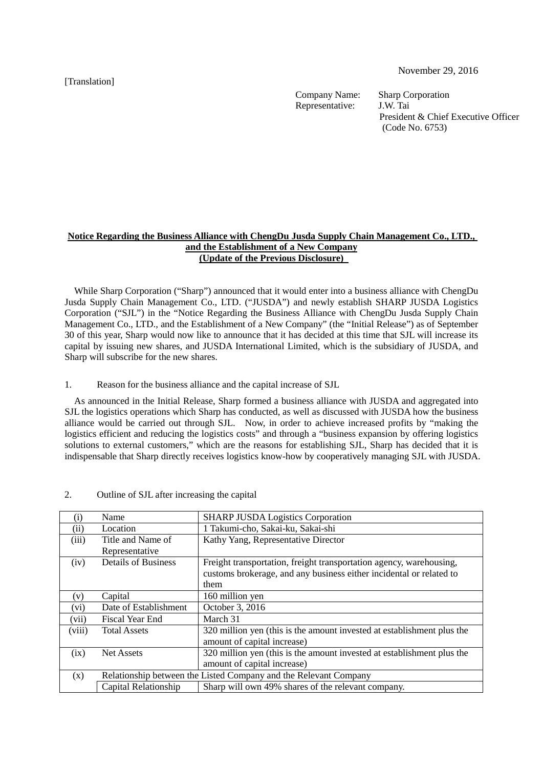[Translation]

November 29, 2016

Company Name: Sharp Corporation<br>Representative: J.W. Tai Representative:

President & Chief Executive Officer (Code No. 6753)

### **Notice Regarding the Business Alliance with ChengDu Jusda Supply Chain Management Co., LTD., and the Establishment of a New Company (Update of the Previous Disclosure)**

While Sharp Corporation ("Sharp") announced that it would enter into a business alliance with ChengDu Jusda Supply Chain Management Co., LTD. ("JUSDA") and newly establish SHARP JUSDA Logistics Corporation ("SJL") in the "Notice Regarding the Business Alliance with ChengDu Jusda Supply Chain Management Co., LTD., and the Establishment of a New Company" (the "Initial Release") as of September 30 of this year, Sharp would now like to announce that it has decided at this time that SJL will increase its capital by issuing new shares, and JUSDA International Limited, which is the subsidiary of JUSDA, and Sharp will subscribe for the new shares.

### 1. Reason for the business alliance and the capital increase of SJL

As announced in the Initial Release, Sharp formed a business alliance with JUSDA and aggregated into SJL the logistics operations which Sharp has conducted, as well as discussed with JUSDA how the business alliance would be carried out through SJL. Now, in order to achieve increased profits by "making the logistics efficient and reducing the logistics costs" and through a "business expansion by offering logistics solutions to external customers," which are the reasons for establishing SJL, Sharp has decided that it is indispensable that Sharp directly receives logistics know-how by cooperatively managing SJL with JUSDA.

| $\rm(i)$ | Name                                                             | <b>SHARP JUSDA Logistics Corporation</b>                               |
|----------|------------------------------------------------------------------|------------------------------------------------------------------------|
| (ii)     | Location                                                         | 1 Takumi-cho, Sakai-ku, Sakai-shi                                      |
| (iii)    | Title and Name of                                                | Kathy Yang, Representative Director                                    |
|          | Representative                                                   |                                                                        |
| (iv)     | <b>Details of Business</b>                                       | Freight transportation, freight transportation agency, warehousing,    |
|          |                                                                  | customs brokerage, and any business either incidental or related to    |
|          |                                                                  | them                                                                   |
| (v)      | Capital                                                          | 160 million yen                                                        |
| (vi)     | Date of Establishment                                            | October 3, 2016                                                        |
| (vii)    | <b>Fiscal Year End</b>                                           | March 31                                                               |
| (viii)   | <b>Total Assets</b>                                              | 320 million yen (this is the amount invested at establishment plus the |
|          |                                                                  | amount of capital increase)                                            |
| (ix)     | <b>Net Assets</b>                                                | 320 million yen (this is the amount invested at establishment plus the |
|          |                                                                  | amount of capital increase)                                            |
| (x)      | Relationship between the Listed Company and the Relevant Company |                                                                        |
|          | Capital Relationship                                             | Sharp will own 49% shares of the relevant company.                     |

#### 2. Outline of SJL after increasing the capital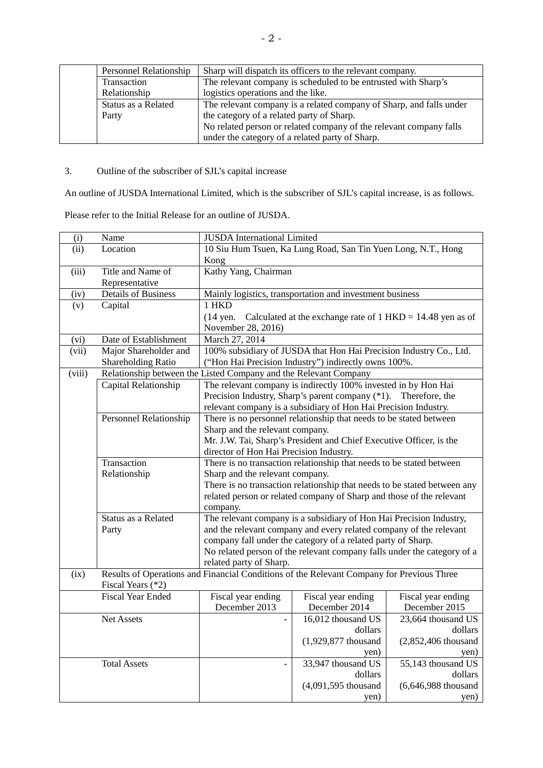| <b>Personnel Relationship</b> | Sharp will dispatch its officers to the relevant company.           |
|-------------------------------|---------------------------------------------------------------------|
| Transaction                   | The relevant company is scheduled to be entrusted with Sharp's      |
| Relationship                  | logistics operations and the like.                                  |
| Status as a Related           | The relevant company is a related company of Sharp, and falls under |
| Party                         | the category of a related party of Sharp.                           |
|                               | No related person or related company of the relevant company falls  |
|                               | under the category of a related party of Sharp.                     |

# 3. Outline of the subscriber of SJL's capital increase

An outline of JUSDA International Limited, which is the subscriber of SJL's capital increase, is as follows.

Please refer to the Initial Release for an outline of JUSDA.

| (i)    | Name                                                                                      | <b>JUSDA</b> International Limited                                    |                                                                          |                        |  |
|--------|-------------------------------------------------------------------------------------------|-----------------------------------------------------------------------|--------------------------------------------------------------------------|------------------------|--|
| (ii)   | Location                                                                                  | 10 Siu Hum Tsuen, Ka Lung Road, San Tin Yuen Long, N.T., Hong         |                                                                          |                        |  |
|        |                                                                                           | Kong                                                                  |                                                                          |                        |  |
| (iii)  | Title and Name of                                                                         | Kathy Yang, Chairman                                                  |                                                                          |                        |  |
|        | Representative                                                                            |                                                                       |                                                                          |                        |  |
| (iv)   | <b>Details of Business</b>                                                                | Mainly logistics, transportation and investment business              |                                                                          |                        |  |
| (v)    | Capital                                                                                   | 1 HKD                                                                 |                                                                          |                        |  |
|        |                                                                                           | (14 yen. Calculated at the exchange rate of $1$ HKD = 14.48 yen as of |                                                                          |                        |  |
|        |                                                                                           | November 28, 2016)                                                    |                                                                          |                        |  |
| (vi)   | Date of Establishment                                                                     | March 27, 2014                                                        |                                                                          |                        |  |
| (vii)  | Major Shareholder and                                                                     | 100% subsidiary of JUSDA that Hon Hai Precision Industry Co., Ltd.    |                                                                          |                        |  |
|        | Shareholding Ratio                                                                        | ("Hon Hai Precision Industry") indirectly owns 100%.                  |                                                                          |                        |  |
| (viii) |                                                                                           |                                                                       | Relationship between the Listed Company and the Relevant Company         |                        |  |
|        | Capital Relationship                                                                      | The relevant company is indirectly 100% invested in by Hon Hai        |                                                                          |                        |  |
|        |                                                                                           |                                                                       | Precision Industry, Sharp's parent company (*1). Therefore, the          |                        |  |
|        |                                                                                           |                                                                       | relevant company is a subsidiary of Hon Hai Precision Industry.          |                        |  |
|        | <b>Personnel Relationship</b>                                                             |                                                                       | There is no personnel relationship that needs to be stated between       |                        |  |
|        |                                                                                           | Sharp and the relevant company.                                       |                                                                          |                        |  |
|        |                                                                                           |                                                                       | Mr. J.W. Tai, Sharp's President and Chief Executive Officer, is the      |                        |  |
|        |                                                                                           | director of Hon Hai Precision Industry.                               |                                                                          |                        |  |
|        | Transaction                                                                               |                                                                       | There is no transaction relationship that needs to be stated between     |                        |  |
|        | Relationship                                                                              | Sharp and the relevant company.                                       |                                                                          |                        |  |
|        |                                                                                           |                                                                       | There is no transaction relationship that needs to be stated between any |                        |  |
|        |                                                                                           |                                                                       | related person or related company of Sharp and those of the relevant     |                        |  |
|        |                                                                                           | company.                                                              |                                                                          |                        |  |
|        | Status as a Related                                                                       |                                                                       | The relevant company is a subsidiary of Hon Hai Precision Industry,      |                        |  |
|        | Party                                                                                     |                                                                       | and the relevant company and every related company of the relevant       |                        |  |
|        |                                                                                           |                                                                       | company fall under the category of a related party of Sharp.             |                        |  |
|        |                                                                                           |                                                                       | No related person of the relevant company falls under the category of a  |                        |  |
|        |                                                                                           | related party of Sharp.                                               |                                                                          |                        |  |
| (ix)   | Results of Operations and Financial Conditions of the Relevant Company for Previous Three |                                                                       |                                                                          |                        |  |
|        | Fiscal Years (*2)                                                                         |                                                                       |                                                                          |                        |  |
|        | <b>Fiscal Year Ended</b>                                                                  | Fiscal year ending                                                    | Fiscal year ending                                                       | Fiscal year ending     |  |
|        |                                                                                           | December 2013                                                         | December 2014                                                            | December 2015          |  |
|        | <b>Net Assets</b>                                                                         |                                                                       | 16,012 thousand US                                                       | $23,664$ thousand US   |  |
|        |                                                                                           |                                                                       | dollars                                                                  | dollars                |  |
|        |                                                                                           |                                                                       | $(1,929,877)$ thousand                                                   | $(2,852,406$ thousand  |  |
|        |                                                                                           |                                                                       | yen)                                                                     | yen)                   |  |
|        | <b>Total Assets</b>                                                                       |                                                                       | 33,947 thousand US                                                       | 55,143 thousand US     |  |
|        |                                                                                           |                                                                       | dollars                                                                  | dollars                |  |
|        |                                                                                           |                                                                       | $(4,091,595)$ thousand                                                   | $(6,646,988)$ thousand |  |
|        |                                                                                           |                                                                       | yen)                                                                     | yen)                   |  |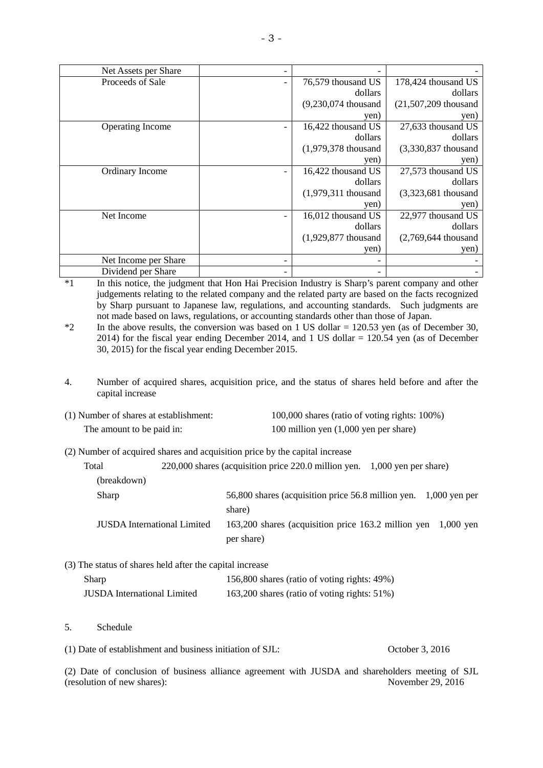| Net Assets per Share |                        |                         |
|----------------------|------------------------|-------------------------|
| Proceeds of Sale     | 76,579 thousand US     | 178,424 thousand US     |
|                      | dollars                | dollars                 |
|                      | $(9,230,074)$ thousand | $(21,507,209)$ thousand |
|                      | yen)                   | yen)                    |
| Operating Income     | 16,422 thousand US     | 27,633 thousand US      |
|                      | dollars                | dollars                 |
|                      | $(1,979,378)$ thousand | (3,330,837 thousand     |
|                      | yen)                   | yen)                    |
| Ordinary Income      | 16,422 thousand US     | 27,573 thousand US      |
|                      | dollars                | dollars                 |
|                      | $(1,979,311)$ thousand | $(3,323,681)$ thousand  |
|                      | yen)                   | yen)                    |
| Net Income           | 16,012 thousand US     | 22,977 thousand US      |
|                      | dollars                | dollars                 |
|                      | $(1,929,877)$ thousand | $(2,769,644)$ thousand  |
|                      | yen)                   | yen)                    |
| Net Income per Share |                        |                         |
| Dividend per Share   |                        |                         |

\*1 In this notice, the judgment that Hon Hai Precision Industry is Sharp's parent company and other judgements relating to the related company and the related party are based on the facts recognized by Sharp pursuant to Japanese law, regulations, and accounting standards. Such judgments are not made based on laws, regulations, or accounting standards other than those of Japan.

<sup>\*2</sup> In the above results, the conversion was based on 1 US dollar = 120.53 yen (as of December 30, 2014) for the fiscal year ending December 2014, and 1 US dollar  $= 120.54$  yen (as of December 30, 2015) for the fiscal year ending December 2015.

4. Number of acquired shares, acquisition price, and the status of shares held before and after the capital increase

| (1) Number of shares at establishment: | 100,000 shares (ratio of voting rights: 100%) |
|----------------------------------------|-----------------------------------------------|
| The amount to be paid in:              | 100 million yen $(1,000)$ yen per share)      |

(2) Number of acquired shares and acquisition price by the capital increase

| Total                              |  | 220,000 shares (acquisition price 220.0 million yen. 1,000 yen per share) |  |
|------------------------------------|--|---------------------------------------------------------------------------|--|
| (breakdown)                        |  |                                                                           |  |
| Sharp                              |  | 56,800 shares (acquisition price 56.8 million yen. 1,000 yen per          |  |
|                                    |  | share)                                                                    |  |
| <b>JUSDA</b> International Limited |  | 163,200 shares (acquisition price 163.2 million yen 1,000 yen             |  |
|                                    |  | per share)                                                                |  |
|                                    |  |                                                                           |  |

(3) The status of shares held after the capital increase

| Sharp                              | 156,800 shares (ratio of voting rights: 49%) |
|------------------------------------|----------------------------------------------|
| <b>JUSDA</b> International Limited | 163,200 shares (ratio of voting rights: 51%) |

5. Schedule

(1) Date of establishment and business initiation of SJL: October 3, 2016

(2) Date of conclusion of business alliance agreement with JUSDA and shareholders meeting of SJL (resolution of new shares):